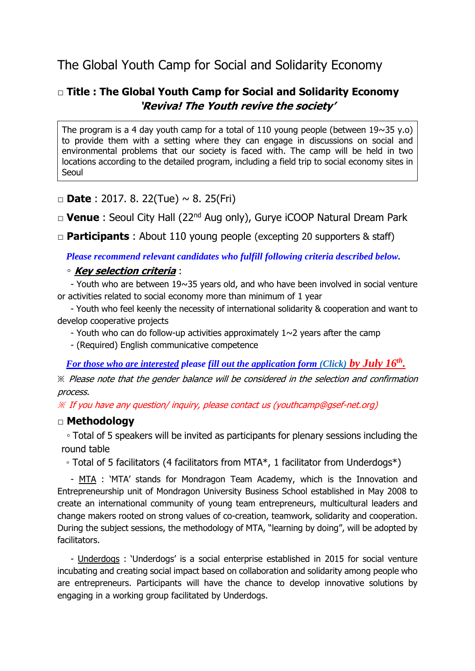## The Global Youth Camp for Social and Solidarity Economy

## **□ Title : The Global Youth Camp for Social and Solidarity Economy 'Reviva! The Youth revive the society'**

The program is a 4 day youth camp for a total of 110 young people (between 19~35 y.o) to provide them with a setting where they can engage in discussions on social and environmental problems that our society is faced with. The camp will be held in two locations according to the detailed program, including a field trip to social economy sites in Seoul

**□ Date** : 2017. 8. 22(Tue) ~ 8. 25(Fri)

**□ Venue** : Seoul City Hall (22nd Aug only), Gurye iCOOP Natural Dream Park

**□ Participants** : About 110 young people (excepting 20 supporters & staff)

*Please recommend relevant candidates who fulfill following criteria described below.*

#### ◦ **Key selection criteria** :

- Youth who are between 19~35 years old, and who have been involved in social venture or activities related to social economy more than minimum of 1 year

 - Youth who feel keenly the necessity of international solidarity & cooperation and want to develop cooperative projects

- Youth who can do follow-up activities approximately  $1 \sim 2$  years after the camp

- (Required) English communicative competence

*For those who are interested please fill out the application form [\(Click\)](https://goo.gl/forms/X3PgVNJBXI2LWM6y1) by July 16th .*

※ Please note that the gender balance will be considered in the selection and confirmation process.

※ If you have any question/ inquiry, please contact us (youthcamp@gsef-net.org)

#### **□ Methodology**

◦ Total of 5 speakers will be invited as participants for plenary sessions including the round table

◦ Total of 5 facilitators (4 facilitators from MTA\*, 1 facilitator from Underdogs\*)

- MTA : 'MTA' stands for Mondragon Team Academy, which is the Innovation and Entrepreneurship unit of Mondragon University Business School established in May 2008 to create an international community of young team entrepreneurs, multicultural leaders and change makers rooted on strong values of co-creation, teamwork, solidarity and cooperation. During the subject sessions, the methodology of MTA, "learning by doing", will be adopted by facilitators.

 - Underdogs : 'Underdogs' is a social enterprise established in 2015 for social venture incubating and creating social impact based on collaboration and solidarity among people who are entrepreneurs. Participants will have the chance to develop innovative solutions by engaging in a working group facilitated by Underdogs.